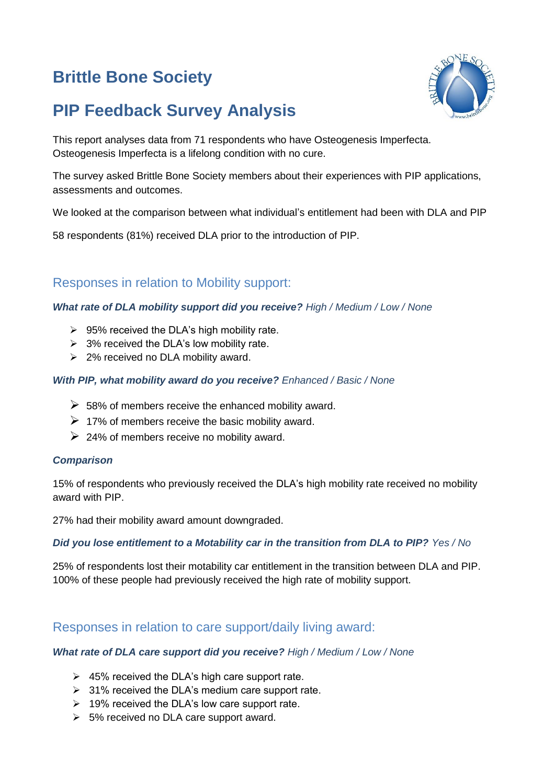# **Brittle Bone Society**





This report analyses data from 71 respondents who have Osteogenesis Imperfecta. Osteogenesis Imperfecta is a lifelong condition with no cure.

The survey asked Brittle Bone Society members about their experiences with PIP applications, assessments and outcomes.

We looked at the comparison between what individual's entitlement had been with DLA and PIP

58 respondents (81%) received DLA prior to the introduction of PIP.

## Responses in relation to Mobility support:

#### *What rate of DLA mobility support did you receive? High / Medium / Low / None*

- $\geq$  95% received the DLA's high mobility rate.
- $\geq$  3% received the DLA's low mobility rate.
- ➢ 2% received no DLA mobility award.

#### *With PIP, what mobility award do you receive? Enhanced / Basic / None*

- $\geq$  58% of members receive the enhanced mobility award.
- $\triangleright$  17% of members receive the basic mobility award.
- $\geq$  24% of members receive no mobility award.

#### *Comparison*

15% of respondents who previously received the DLA's high mobility rate received no mobility award with PIP.

27% had their mobility award amount downgraded.

#### *Did you lose entitlement to a Motability car in the transition from DLA to PIP? Yes / No*

25% of respondents lost their motability car entitlement in the transition between DLA and PIP. 100% of these people had previously received the high rate of mobility support.

## Responses in relation to care support/daily living award:

#### *What rate of DLA care support did you receive? High / Medium / Low / None*

- $\geq$  45% received the DLA's high care support rate.
- $\geq$  31% received the DLA's medium care support rate.
- $\geq 19\%$  received the DLA's low care support rate.
- ➢ 5% received no DLA care support award.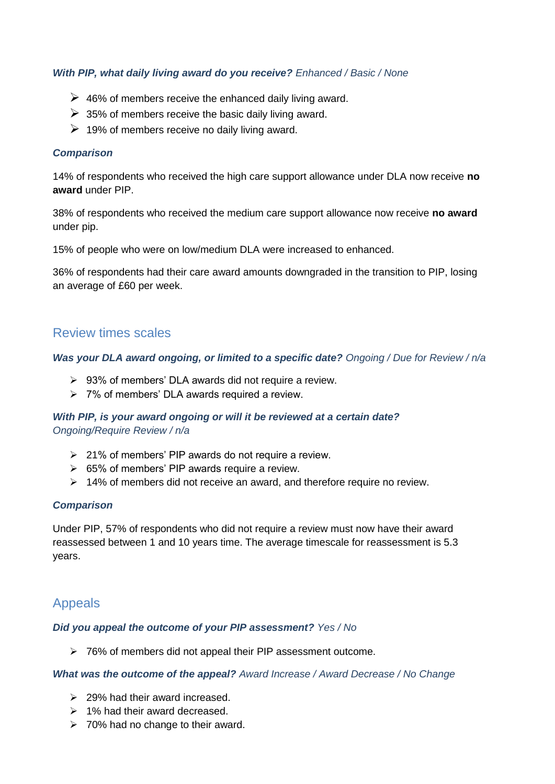#### *With PIP, what daily living award do you receive? Enhanced / Basic / None*

- $\triangleright$  46% of members receive the enhanced daily living award.
- $\geq$  35% of members receive the basic daily living award.
- $\geq 19\%$  of members receive no daily living award.

#### *Comparison*

14% of respondents who received the high care support allowance under DLA now receive **no award** under PIP.

38% of respondents who received the medium care support allowance now receive **no award** under pip.

15% of people who were on low/medium DLA were increased to enhanced.

36% of respondents had their care award amounts downgraded in the transition to PIP, losing an average of £60 per week.

### Review times scales

#### *Was your DLA award ongoing, or limited to a specific date? Ongoing / Due for Review / n/a*

- ➢ 93% of members' DLA awards did not require a review.
- ➢ 7% of members' DLA awards required a review.

#### *With PIP, is your award ongoing or will it be reviewed at a certain date? Ongoing/Require Review / n/a*

- $\geq 21\%$  of members' PIP awards do not require a review.
- $\geq$  65% of members' PIP awards require a review.
- ➢ 14% of members did not receive an award, and therefore require no review.

#### *Comparison*

Under PIP, 57% of respondents who did not require a review must now have their award reassessed between 1 and 10 years time. The average timescale for reassessment is 5.3 years.

## Appeals

#### *Did you appeal the outcome of your PIP assessment? Yes / No*

➢ 76% of members did not appeal their PIP assessment outcome.

#### *What was the outcome of the appeal? Award Increase / Award Decrease / No Change*

- $\geq$  29% had their award increased.
- ➢ 1% had their award decreased.
- ➢ 70% had no change to their award.